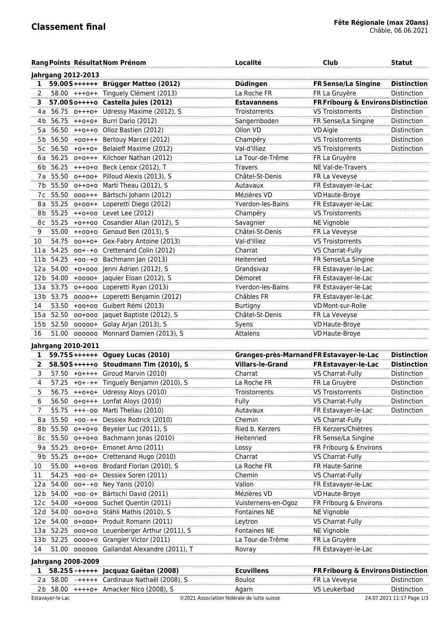|             |                           | Rang Points Résultat Nom Prénom               | Localité                | <b>Club</b>                                   | <b>Statut</b>      |
|-------------|---------------------------|-----------------------------------------------|-------------------------|-----------------------------------------------|--------------------|
|             | <b>Jahrgang 2012-2013</b> |                                               |                         |                                               |                    |
| $\mathbf 1$ |                           | 59.00S++++++ Brügger Matteo (2012)            | Düdingen                | <b>FR Sense/La Singine</b>                    | <b>Distinction</b> |
| 2           |                           | 58.00 +++o++ Tinguely Clément (2013)          | La Roche FR             | FR La Gruyère                                 | Distinction        |
| 3.          |                           | 57.00So++++o Castella Jules (2012)            | <b>Estavannens</b>      | FR Fribourg & Environs Distinction            |                    |
|             |                           | 4a 56.75 o+++o+ Udressy Maxime (2012), S      | Troistorrents           | <b>VS Troistorrents</b>                       | Distinction        |
|             |                           | 4b 56.75 ++0+0+ Burri Dario (2012)            | Sangernboden            | FR Sense/La Singine                           | Distinction        |
|             |                           | 5a 56.50 ++0++0 Olloz Bastien (2012)          | Ollon VD                | <b>VD</b> Aigle                               | Distinction        |
|             |                           | 5b 56.50 +00+++ Bertouy Marcel (2012)         | Champéry                | <b>VS Troistorrents</b>                       | Distinction        |
|             |                           | 5c 56.50 +0++0+ Belaieff Maxime (2012)        | Val-d'Illiez            | <b>VS Troistorrents</b>                       | Distinction        |
|             |                           | 6a 56.25 0+0+++ Kilchoer Nathan (2012)        | La Tour-de-Trême        | FR La Gruyère                                 |                    |
|             |                           | 6b 56.25 +++0+0 Beck Lenox (2012), T          | <b>Travers</b>          | NE Val-de-Travers                             |                    |
|             |                           | 7a 55.50 o++oo+ Pilloud Alexis (2013), S      | Châtel-St-Denis         | FR La Veveyse                                 |                    |
|             |                           | 7b 55.50 0++0+0 Marti Theau (2012), S         | Autavaux                | FR Estavayer-le-Lac                           |                    |
|             |                           | 7c 55.50 000+++ Bärtschi Johann (2012)        | Mézières VD             | VD Haute-Broye                                |                    |
|             |                           | 8a 55.25 0+00++ Loperetti Diego (2012)        | Yverdon-les-Bains       | FR Estavayer-le-Lac                           |                    |
|             |                           | 8b 55.25 ++0+00 Levet Lee (2012)              | Champéry                | <b>VS Troistorrents</b>                       |                    |
|             |                           | 8c 55.25 +0++00 Cosandier Allan (2012), S     | Savagnier               | NE Vignoble                                   |                    |
| 9           |                           | 55.00 ++00+0 Genoud Ben (2013), S             | Châtel-St-Denis         | FR La Veveyse                                 |                    |
| 10          |                           | 54.75 oo++o+ Gex-Fabry Antoine (2013)         | Val-d'Illiez            | <b>VS Troistorrents</b>                       |                    |
|             |                           | 11a 54.25 oo+-+o Crettenand Colin (2012)      | Charrat                 | VS Charrat-Fully                              |                    |
|             |                           | 11b 54.25 +00-+0 Bachmann Jan (2013)          | Heitenried              | FR Sense/La Singine                           |                    |
|             |                           | 12a 54.00 +0+000 Jenni Adrien (2012), S       | Grandsivaz              | FR Estavayer-le-Lac                           |                    |
|             |                           | 12b 54.00 +0000+ Jaquier Eloan (2012), S      | Démoret                 | FR Estavayer-le-Lac                           |                    |
|             |                           | 13a 53.75 0++000 Loperetti Ryan (2013)        | Yverdon-les-Bains       | FR Estavayer-le-Lac                           |                    |
|             |                           | 13b 53.75 0000++ Loperetti Benjamin (2012)    | Châbles FR              | FR Estavayer-le-Lac                           |                    |
| 14          |                           | 53.50 +00+00 Guibert Rémi (2013)              | <b>Burtigny</b>         | VD Mont-sur-Rolle                             |                    |
|             |                           | 15a 52.50 00+000 Jaquet Baptiste (2012), S    | Châtel-St-Denis         | FR La Veveyse                                 |                    |
|             |                           | 15b 52.50 00000+ Golay Arjan (2013), S        | Syens                   | VD Haute-Broye                                |                    |
| 16          |                           | 51.00 000000 Monnard Damien (2013), S         | Attalens                | VD Haute-Broye                                |                    |
|             | Jahrgang 2010-2011        |                                               |                         |                                               |                    |
| 1           |                           | 59.75S+++++++ Oguey Lucas (2010)              |                         | Granges-près-Marnand FR Estavayer-le-Lac      | <b>Distinction</b> |
| 2           |                           | 58.50S+++++0 Stoudmann Tim (2010), S          | <b>Villars-le-Grand</b> | FR Estavayer-le-Lac                           | <b>Distinction</b> |
| 3           |                           | 57.50 + 0+ + + + Giroud Marvin (2010)         | Charrat                 | VS Charrat-Fully                              | Distinction        |
| 4           |                           | 57.25 +0+-++ Tinguely Benjamin (2010), S      | La Roche FR             | FR La Gruyère                                 | Distinction        |
| 5           |                           | 56.75 ++0+0+ Udressy Aloys (2010)             | Troistorrents           | <b>VS Troistorrents</b>                       | Distinction        |
| 6           |                           | 56.50 o+o+++ Lonfat Aloys (2010)              | Fully                   | VS Charrat-Fully                              | <b>Distinction</b> |
| 7           | $55.75$ +++-00            | Marti Theliau (2010)                          | Autavaux                | FR Estavayer-le-Lac                           | Distinction        |
|             | 8a 55.50 +00-++           | Dessiex Rodrick (2010)                        | Chemin                  | VS Charrat-Fully                              |                    |
|             |                           | 8b 55.50 o++o+o Beyeler Luc (2011), S         | Ried b. Kerzers         | FR Kerzers/Chiètres                           |                    |
|             |                           | 8c 55.50 o++o+o Bachmann Jonas (2010)         | Heitenried              | FR Sense/La Singine                           |                    |
|             |                           | 9a 55.25 o+o+o+ Emonet Arno (2011)            | Lossy                   | FR Fribourg & Environs                        |                    |
|             |                           | 9b 55.25 o++oo+ Crettenand Hugo (2010)        | Charrat                 | VS Charrat-Fully                              |                    |
| 10          | 55.00                     | ++0+00 Brodard Florian (2010), S              | La Roche FR             | FR Haute-Sarine                               |                    |
| 11          |                           | 54.25 +00-0+ Dessiex Soren (2011)             | Chemin                  | VS Charrat-Fully                              |                    |
|             |                           | 12a 54.00 oo+-+o Ney Yanis (2010)             | Vallon                  | FR Estavayer-le-Lac                           |                    |
|             |                           | 12b 54.00 +00-0+ Bärtschi David (2011)        | Mézières VD             | VD Haute-Broye                                |                    |
|             |                           | 12c 54.00 +0+000 Suchet Quentin (2011)        | Vuisternens-en-Ogoz     | FR Fribourg & Environs                        |                    |
|             |                           | 12d 54.00 00+0+0 Stähli Mathis (2010), S      | Fontaines NE            | NE Vignoble                                   |                    |
|             |                           | 12e 54.00 o+ooo+ Produit Romann (2011)        | Leytron                 | VS Charrat-Fully                              |                    |
|             |                           | 13a 52.25 000+00 Leuenberger Arthur (2011), S | <b>Fontaines NE</b>     | NE Vignoble                                   |                    |
|             |                           | 13b 52.25 0000+0 Grangier Victor (2011)       | La Tour-de-Trême        | FR La Gruyère                                 |                    |
| 14          | 51.00                     | 000000 Gallandat Alexandre (2011), T          | Rovray                  | FR Estavayer-le-Lac                           |                    |
|             | <b>Jahrgang 2008-2009</b> |                                               |                         |                                               |                    |
| 1           |                           | 58.25S-+++++ Jacquaz Gaëtan (2008)            | <b>Ecuvillens</b>       | <b>FR Fribourg &amp; Environs Distinction</b> |                    |
|             |                           | 2a 58.00 -+++++ Cardinaux Nathaël (2008), S   | Bouloz                  | FR La Veveyse                                 | <b>Distinction</b> |
|             |                           | 2b 58.00 ++++o+ Amacker Nico (2008), S        | Agarn                   | VS Leukerbad                                  | Distinction        |
|             |                           |                                               |                         |                                               |                    |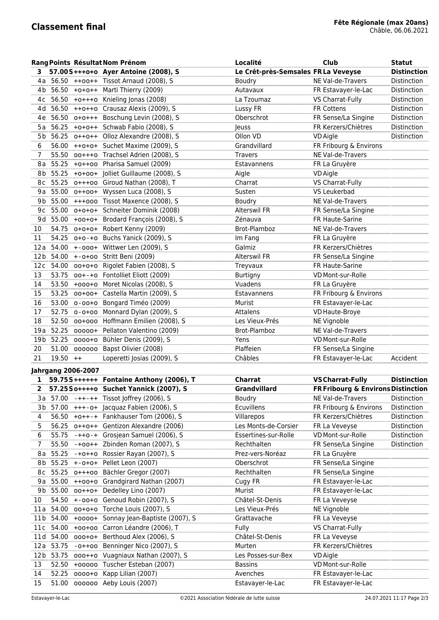|                 |                   |                           | Rang Points Résultat Nom Prénom                                    | Localité                                     | <b>Club</b>                        | <b>Statut</b>              |
|-----------------|-------------------|---------------------------|--------------------------------------------------------------------|----------------------------------------------|------------------------------------|----------------------------|
|                 |                   |                           | 57.00S+++0+0 Ayer Antoine (2008), S                                | Le Crêt-près-Semsales FR La Veveyse          |                                    | <b>Distinction</b>         |
| 4 a             |                   |                           | 56.50 ++00++ Tissot Arnaud (2008), S                               | Boudry                                       | NE Val-de-Travers                  | Distinction                |
|                 |                   |                           | 4b 56.50 +0+0++ Marti Thierry (2009)                               | Autavaux                                     | FR Estavayer-le-Lac                | Distinction                |
|                 |                   |                           | 4c 56.50 +0+++0 Knieling Jonas (2008)                              | La Tzoumaz                                   | VS Charrat-Fully                   | Distinction                |
|                 |                   |                           | 4d 56.50 ++0++0 Crausaz Alexis (2009), S                           | Lussy FR                                     | FR Cottens                         | Distinction                |
|                 |                   |                           | 4e 56.50 o+o+++ Boschung Levin (2008), S                           | Oberschrot                                   | FR Sense/La Singine                | Distinction                |
|                 |                   |                           | 5a 56.25 +0+0++ Schwab Fabio (2008), S                             | Jeuss                                        | FR Kerzers/Chiètres                | Distinction                |
|                 |                   |                           | 5b 56.25 o++o++ Olloz Alexandre (2008), S                          | Ollon VD                                     | <b>VD</b> Aigle                    | Distinction                |
| 6               |                   |                           | 56.00 ++0+0+ Suchet Maxime (2009), S                               | Grandvillard                                 | FR Fribourg & Environs             |                            |
| 7               |                   |                           | 55.50 oo+++o Trachsel Adrien (2008), S                             | <b>Travers</b>                               | NE Val-de-Travers                  |                            |
|                 |                   |                           | 8a 55.25 +0++00 Pharisa Samuel (2009)                              | Estavannens                                  | FR La Gruyère                      |                            |
|                 |                   |                           | 8b 55.25 +0+00+ Jolliet Guillaume (2008), S                        | Aigle                                        | <b>VD</b> Aigle                    |                            |
|                 |                   |                           | 8c 55.25 o+++oo Giroud Nathan (2008), T                            | Charrat                                      | VS Charrat-Fully                   |                            |
|                 |                   |                           | 9a 55.00 o++oo+ Wyssen Luca (2008), S                              | Susten                                       | VS Leukerbad                       |                            |
|                 |                   |                           | 9b 55.00 +++000 Tissot Maxence (2008), S                           | Boudry                                       | NE Val-de-Travers                  |                            |
|                 |                   |                           | 9c 55.00 o+o+o+ Schneiter Dominik (2008)                           | Alterswil FR                                 | FR Sense/La Singine                |                            |
|                 |                   |                           | 9d 55.00 +00+0+ Brodard François (2008), S                         | Zénauva                                      | FR Haute-Sarine                    |                            |
| 10              |                   |                           | 54.75 o+o+o+ Robert Kenny (2009)                                   | Brot-Plamboz                                 | NE Val-de-Travers                  |                            |
| 11              |                   |                           | 54.25 0+0-+0 Buchs Yanick (2009), S                                | Im Fang                                      | FR La Gruyère                      |                            |
| 12 a            |                   |                           | 54.00 +-000+ Wittwer Len (2009), S                                 | Galmiz                                       | FR Kerzers/Chiètres                |                            |
|                 |                   |                           | 12b 54.00 +-0+00 Stritt Beni (2009)                                | Alterswil FR                                 | FR Sense/La Singine                |                            |
|                 |                   |                           | 12c 54.00 00+0+0 Rigolet Fabien (2008), S                          | Treyvaux                                     | FR Haute-Sarine                    |                            |
| 13              | 53.75             |                           | oo+-+o Fontolliet Eliott (2009)                                    | Burtigny                                     | VD Mont-sur-Rolle                  |                            |
| 14              |                   |                           | 53.50 +000+0 Moret Nicolas (2008), S                               | Vuadens                                      | FR La Gruyère                      |                            |
| 15              |                   |                           | 53.25 00+00+ Castella Martin (2009), S                             | Estavannens                                  | FR Fribourg & Environs             |                            |
| 16              |                   |                           | 53.00 o-oo+o Bongard Timéo (2009)                                  | Murist                                       | FR Estavayer-le-Lac                |                            |
| 17              |                   |                           | 52.75 o-o+oo Monnard Dylan (2009), S                               | Attalens                                     | VD Haute-Broye                     |                            |
| 18              |                   |                           | 52.50 00+000 Hoffmann Emilien (2008), S                            | Les Vieux-Prés                               | NE Vignoble                        |                            |
| 19 a            |                   |                           | 52.25 00000+ Pellaton Valentino (2009)                             | Brot-Plamboz                                 | NE Val-de-Travers                  |                            |
| 19 <sub>b</sub> |                   |                           | 52.25 0000+0 Bühler Denis (2009), S                                | Yens                                         | VD Mont-sur-Rolle                  |                            |
| 20              | 51.00             |                           | 000000 Bapst Olivier (2008)                                        | Plaffeien                                    | FR Sense/La Singine                |                            |
| 21              | $19.50 + +$       |                           | Loperetti Josias (2009), S                                         | Châbles                                      | FR Estavayer-le-Lac                | Accident                   |
|                 |                   | <b>Jahrgang 2006-2007</b> |                                                                    |                                              |                                    |                            |
| 1               |                   |                           | 59.75S++++++ Fontaine Anthony (2006), T                            | Charrat                                      | <b>VS Charrat-Fully</b>            | <b>Distinction</b>         |
|                 |                   |                           | 57.25So++++o Suchet Yannick (2007), S                              | Grandvillard                                 | FR Fribourg & Environs Distinction |                            |
|                 |                   |                           | 3a 57.00 - + + - + + Tissot Joffrey (2006), S                      | Boudry                                       | NE Val-de-Travers                  | Distinction                |
|                 | 3b 57.00          |                           | +++- o+ Jacquaz Fabien (2006), S                                   | Ecuvillens                                   | FR Fribourg & Environs             | Distinction                |
|                 | 56.50             |                           | +0++-+ Fankhauser Tom (2006), S                                    |                                              | FR Kerzers/Chiètres                |                            |
| 4               |                   |                           |                                                                    | Villarepos                                   |                                    | Distinction                |
| 5               | 56.25             |                           | 0++0++ Gentizon Alexandre (2006)                                   | Les Monts-de-Corsier<br>Essertines-sur-Rolle | FR La Veveyse<br>VD Mont-sur-Rolle | Distinction<br>Distinction |
| 6               | 55.75<br>55.50    |                           | -++o-+ Grosjean Samuel (2006), S<br>-+00++ Zbinden Roman (2007), S | Rechthalten                                  | FR Sense/La Singine                | Distinction                |
| 7               | 55.25             |                           | -+0++0 Rossier Rayan (2007), S                                     | Prez-vers-Noréaz                             | FR La Gruyère                      |                            |
| 8 a<br>8b       | 55.25             |                           | +-0+0+ Pellet Leon (2007)                                          | Oberschrot                                   | FR Sense/La Singine                |                            |
|                 |                   |                           | 55.25 o+++oo Bächler Gregor (2007)                                 | Rechthalten                                  | FR Sense/La Singine                |                            |
| 8 c             |                   |                           | 55.00 ++00+0 Grandgirard Nathan (2007)                             |                                              |                                    |                            |
| 9 a             |                   |                           |                                                                    | Cugy FR<br>Murist                            | FR Estavayer-le-Lac                |                            |
|                 | 9b 55.00<br>54.50 |                           | 00++0+ Dedelley Lino (2007)                                        | Châtel-St-Denis                              | FR Estavayer-le-Lac                |                            |
| 10              |                   |                           | +-00+0 Genoud Robin (2007), S                                      |                                              | FR La Veveyse                      |                            |
| 11 a            | 54.00             |                           | 00+0+0 Torche Louis (2007), S                                      | Les Vieux-Prés                               | NE Vignoble                        |                            |
| 11 b            | 54.00             |                           | +0000+ Sonnay Jean-Baptiste (2007), S                              | Grattavache                                  | FR La Veveyse                      |                            |
| 11 c            | 54.00             |                           | +00+00 Carron Léandre (2006), T                                    | Fully                                        | VS Charrat-Fully                   |                            |
| 11d             | 54.00             |                           | 000+0+ Berthoud Alex (2006), S                                     | Châtel-St-Denis                              | FR La Veveyse                      |                            |
|                 | 12a 53.75         |                           | -o++oo Benninger Nico (2007), S                                    | Murten                                       | FR Kerzers/Chiètres                |                            |
|                 |                   |                           | 12b 53.75 000++0 Vuagniaux Nathan (2007), S                        | Les Posses-sur-Bex                           | VD Aigle                           |                            |
| 13              |                   |                           | 52.50 +00000 Tuscher Esteban (2007)<br>0000+0 Kapp Lilian (2007)   | <b>Bassins</b>                               | VD Mont-sur-Rolle                  |                            |
| 14              | 52.25             |                           |                                                                    | Avenches                                     | FR Estavayer-le-Lac                |                            |
| 15              | 51.00             |                           | 000000 Aeby Louis (2007)                                           | Estavayer-le-Lac                             | FR Estavayer-le-Lac                |                            |